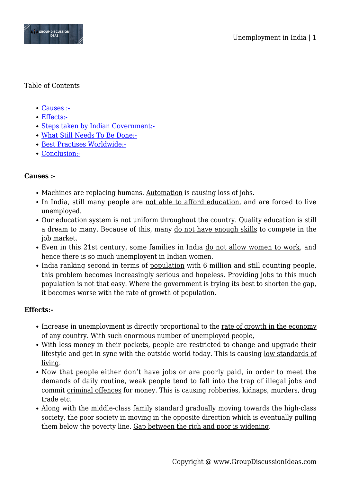

## Table of Contents

- [Causes :-](#page--1-0)
- [Effects:-](#page--1-0)
- [Steps taken by Indian Government:-](#page--1-0)
- [What Still Needs To Be Done:-](#page--1-0)
- [Best Practises Worldwide:-](#page--1-0)
- [Conclusion:-](#page--1-0)

# **Causes :-**

- Machines are replacing humans. Automation is causing loss of jobs.
- In India, still many people are not able to afford education, and are forced to live unemployed.
- Our education system is not uniform throughout the country. Quality education is still a dream to many. Because of this, many do not have enough skills to compete in the job market.
- Even in this 21st century, some families in India do not allow women to work, and hence there is so much unemployent in Indian women.
- India ranking second in terms of population with 6 million and still counting people, this problem becomes increasingly serious and hopeless. Providing jobs to this much population is not that easy. Where the government is trying its best to shorten the gap, it becomes worse with the rate of growth of population.

# **Effects:-**

- Increase in unemployment is directly proportional to the <u>rate of growth in the economy</u> of any country. With such enormous number of unemployed people,
- With less money in their pockets, people are restricted to change and upgrade their lifestyle and get in sync with the outside world today. This is causing low standards of living.
- Now that people either don't have jobs or are poorly paid, in order to meet the demands of daily routine, weak people tend to fall into the trap of illegal jobs and commit criminal offences for money. This is causing robberies, kidnaps, murders, drug trade etc.
- Along with the middle-class family standard gradually moving towards the high-class society, the poor society in moving in the opposite direction which is eventually pulling them below the poverty line. Gap between the rich and poor is widening.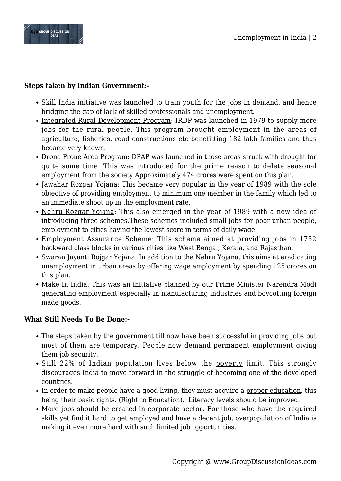

## **Steps taken by Indian Government:-**

- Skill India initiative was launched to train youth for the jobs in demand, and hence bridging the gap of lack of skilled professionals and unemployment.
- Integrated Rural Development Program: IRDP was launched in 1979 to supply more jobs for the rural people. This program brought employment in the areas of agriculture, fisheries, road constructions etc benefitting 182 lakh families and thus became very known.
- Drone Prone Area Program: DPAP was launched in those areas struck with drought for quite some time. This was introduced for the prime reason to delete seasonal employment from the society.Approximately 474 crores were spent on this plan.
- Jawahar Rozgar Yojana: This became very popular in the year of 1989 with the sole objective of providing employment to minimum one member in the family which led to an immediate shoot up in the employment rate.
- Nehru Rozgar Yojana: This also emerged in the year of 1989 with a new idea of introducing three schemes.These schemes included small jobs for poor urban people, employment to cities having the lowest score in terms of daily wage.
- Employment Assurance Scheme: This scheme aimed at providing jobs in 1752 backward class blocks in various cities like West Bengal, Kerala, and Rajasthan.
- Swaran Jayanti Rojgar Yojana: In addition to the Nehru Yojana, this aims at eradicating unemployment in urban areas by offering wage employment by spending 125 crores on this plan.
- Make In India: This was an initiative planned by our Prime Minister Narendra Modi generating employment especially in manufacturing industries and boycotting foreign made goods.

### **What Still Needs To Be Done:-**

- The steps taken by the government till now have been successful in providing jobs but most of them are temporary. People now demand permanent employment giving them job security.
- Still 22% of Indian population lives below the poverty limit. This strongly discourages India to move forward in the struggle of becoming one of the developed countries.
- In order to make people have a good living, they must acquire a proper education, this being their basic rights. (Right to Education). Literacy levels should be improved.
- More jobs should be created in corporate sector. For those who have the required skills yet find it hard to get employed and have a decent job, overpopulation of India is making it even more hard with such limited job opportunities.